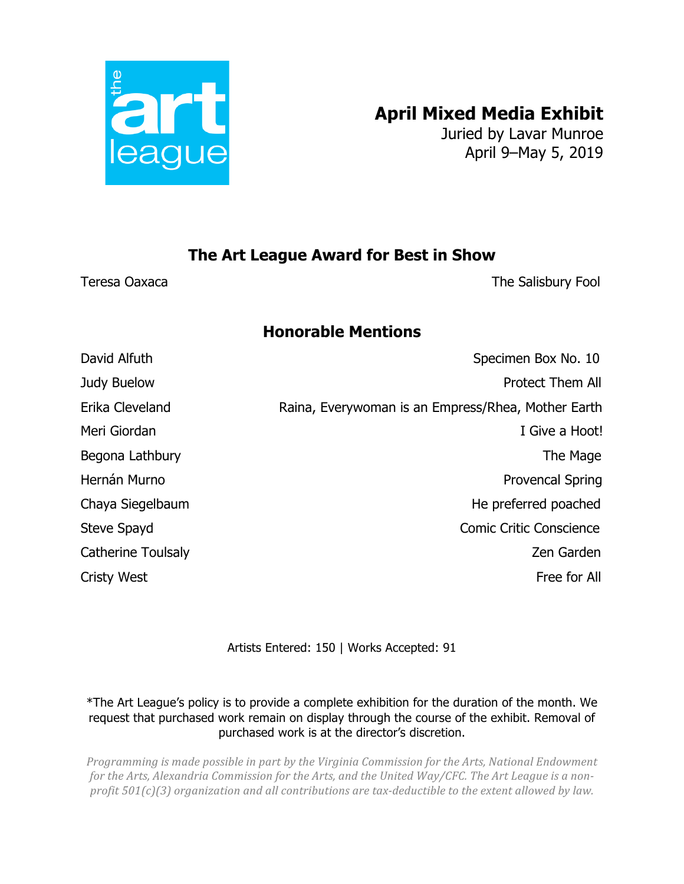

## **April Mixed Media Exhibit**

Juried by Lavar Munroe April 9–May 5, 2019

## **The Art League Award for Best in Show**

Teresa Oaxaca The Salisbury Fool

## **Honorable Mentions**

| David Alfuth              | Specimen Box No. 10                                |
|---------------------------|----------------------------------------------------|
| Judy Buelow               | <b>Protect Them All</b>                            |
| Erika Cleveland           | Raina, Everywoman is an Empress/Rhea, Mother Earth |
| Meri Giordan              | I Give a Hoot!                                     |
| Begona Lathbury           | The Mage                                           |
| Hernán Murno              | <b>Provencal Spring</b>                            |
| Chaya Siegelbaum          | He preferred poached                               |
| Steve Spayd               | <b>Comic Critic Conscience</b>                     |
| <b>Catherine Toulsaly</b> | Zen Garden                                         |
| <b>Cristy West</b>        | Free for All                                       |
|                           |                                                    |

Artists Entered: 150 | Works Accepted: 91

\*The Art League's policy is to provide a complete exhibition for the duration of the month. We request that purchased work remain on display through the course of the exhibit. Removal of purchased work is at the director's discretion.

*Programming is made possible in part by the Virginia Commission for the Arts, National Endowment* for the Arts, Alexandria Commission for the Arts, and the United Way/CFC. The Art League is a non*profit* 501(c)(3) organization and all contributions are tax-deductible to the extent allowed by law.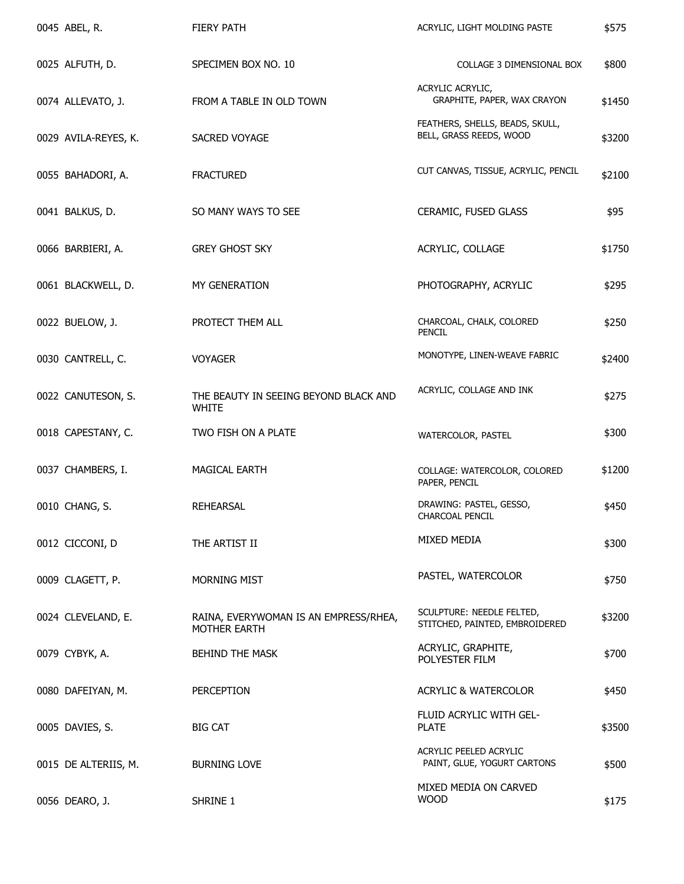| 0045 ABEL, R.        | <b>FIERY PATH</b>                                            | ACRYLIC, LIGHT MOLDING PASTE                                | \$575  |
|----------------------|--------------------------------------------------------------|-------------------------------------------------------------|--------|
| 0025 ALFUTH, D.      | SPECIMEN BOX NO. 10                                          | COLLAGE 3 DIMENSIONAL BOX                                   | \$800  |
| 0074 ALLEVATO, J.    | FROM A TABLE IN OLD TOWN                                     | ACRYLIC ACRYLIC,<br>GRAPHITE, PAPER, WAX CRAYON             | \$1450 |
| 0029 AVILA-REYES, K. | SACRED VOYAGE                                                | FEATHERS, SHELLS, BEADS, SKULL,<br>BELL, GRASS REEDS, WOOD  | \$3200 |
| 0055 BAHADORI, A.    | <b>FRACTURED</b>                                             | CUT CANVAS, TISSUE, ACRYLIC, PENCIL                         | \$2100 |
| 0041 BALKUS, D.      | SO MANY WAYS TO SEE                                          | CERAMIC, FUSED GLASS                                        | \$95   |
| 0066 BARBIERI, A.    | <b>GREY GHOST SKY</b>                                        | ACRYLIC, COLLAGE                                            | \$1750 |
| 0061 BLACKWELL, D.   | MY GENERATION                                                | PHOTOGRAPHY, ACRYLIC                                        | \$295  |
| 0022 BUELOW, J.      | PROTECT THEM ALL                                             | CHARCOAL, CHALK, COLORED<br>PENCIL                          | \$250  |
| 0030 CANTRELL, C.    | <b>VOYAGER</b>                                               | MONOTYPE, LINEN-WEAVE FABRIC                                | \$2400 |
| 0022 CANUTESON, S.   | THE BEAUTY IN SEEING BEYOND BLACK AND<br><b>WHITE</b>        | ACRYLIC, COLLAGE AND INK                                    | \$275  |
| 0018 CAPESTANY, C.   | TWO FISH ON A PLATE                                          | WATERCOLOR, PASTEL                                          | \$300  |
| 0037 CHAMBERS, I.    | MAGICAL EARTH                                                | COLLAGE: WATERCOLOR, COLORED<br>PAPER, PENCIL               | \$1200 |
| 0010 CHANG, S.       | <b>REHEARSAL</b>                                             | DRAWING: PASTEL, GESSO,<br>CHARCOAL PENCIL                  | \$450  |
| 0012 CICCONI, D      | THE ARTIST II                                                | MIXED MEDIA                                                 | \$300  |
| 0009 CLAGETT, P.     | <b>MORNING MIST</b>                                          | PASTEL, WATERCOLOR                                          | \$750  |
| 0024 CLEVELAND, E.   | RAINA, EVERYWOMAN IS AN EMPRESS/RHEA,<br><b>MOTHER EARTH</b> | SCULPTURE: NEEDLE FELTED,<br>STITCHED, PAINTED, EMBROIDERED | \$3200 |
| 0079 CYBYK, A.       | <b>BEHIND THE MASK</b>                                       | ACRYLIC, GRAPHITE,<br>POLYESTER FILM                        | \$700  |
| 0080 DAFEIYAN, M.    | PERCEPTION                                                   | ACRYLIC & WATERCOLOR                                        | \$450  |
| 0005 DAVIES, S.      | <b>BIG CAT</b>                                               | FLUID ACRYLIC WITH GEL-<br><b>PLATE</b>                     | \$3500 |
| 0015 DE ALTERIIS, M. | <b>BURNING LOVE</b>                                          | ACRYLIC PEELED ACRYLIC<br>PAINT, GLUE, YOGURT CARTONS       | \$500  |
| 0056 DEARO, J.       | SHRINE 1                                                     | MIXED MEDIA ON CARVED<br><b>WOOD</b>                        | \$175  |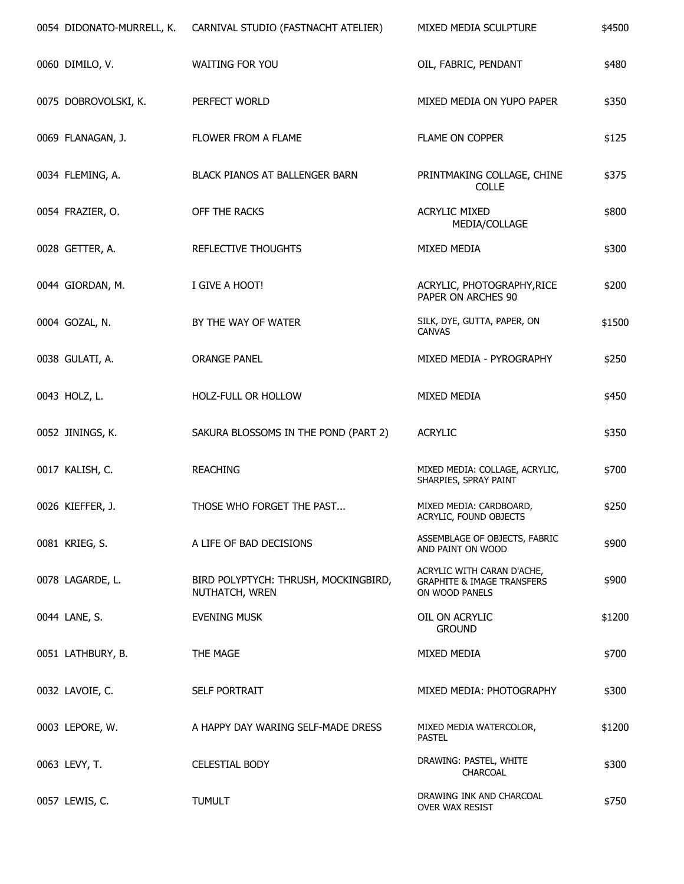| 0054 DIDONATO-MURRELL, K. | CARNIVAL STUDIO (FASTNACHT ATELIER)                    | MIXED MEDIA SCULPTURE                                                                 | \$4500 |
|---------------------------|--------------------------------------------------------|---------------------------------------------------------------------------------------|--------|
| 0060 DIMILO, V.           | <b>WAITING FOR YOU</b>                                 | OIL, FABRIC, PENDANT                                                                  | \$480  |
| 0075 DOBROVOLSKI, K.      | PERFECT WORLD                                          | MIXED MEDIA ON YUPO PAPER                                                             | \$350  |
| 0069 FLANAGAN, J.         | FLOWER FROM A FLAME                                    | <b>FLAME ON COPPER</b>                                                                | \$125  |
| 0034 FLEMING, A.          | BLACK PIANOS AT BALLENGER BARN                         | PRINTMAKING COLLAGE, CHINE<br><b>COLLE</b>                                            | \$375  |
| 0054 FRAZIER, O.          | OFF THE RACKS                                          | <b>ACRYLIC MIXED</b><br>MEDIA/COLLAGE                                                 | \$800  |
| 0028 GETTER, A.           | REFLECTIVE THOUGHTS                                    | MIXED MEDIA                                                                           | \$300  |
| 0044 GIORDAN, M.          | I GIVE A HOOT!                                         | ACRYLIC, PHOTOGRAPHY, RICE<br>PAPER ON ARCHES 90                                      | \$200  |
| 0004 GOZAL, N.            | BY THE WAY OF WATER                                    | SILK, DYE, GUTTA, PAPER, ON<br><b>CANVAS</b>                                          | \$1500 |
| 0038 GULATI, A.           | <b>ORANGE PANEL</b>                                    | MIXED MEDIA - PYROGRAPHY                                                              | \$250  |
| 0043 HOLZ, L.             | HOLZ-FULL OR HOLLOW                                    | MIXED MEDIA                                                                           | \$450  |
| 0052 JININGS, K.          | SAKURA BLOSSOMS IN THE POND (PART 2)                   | <b>ACRYLIC</b>                                                                        | \$350  |
| 0017 KALISH, C.           | <b>REACHING</b>                                        | MIXED MEDIA: COLLAGE, ACRYLIC,<br>SHARPIES, SPRAY PAINT                               | \$700  |
| 0026 KIEFFER, J.          | THOSE WHO FORGET THE PAST                              | MIXED MEDIA: CARDBOARD,<br>ACRYLIC, FOUND OBJECTS                                     | \$250  |
| 0081 KRIEG, S.            | A LIFE OF BAD DECISIONS                                | ASSEMBLAGE OF OBJECTS, FABRIC<br>AND PAINT ON WOOD                                    | \$900  |
| 0078 LAGARDE, L.          | BIRD POLYPTYCH: THRUSH, MOCKINGBIRD,<br>NUTHATCH, WREN | ACRYLIC WITH CARAN D'ACHE,<br><b>GRAPHITE &amp; IMAGE TRANSFERS</b><br>ON WOOD PANELS | \$900  |
| 0044 LANE, S.             | <b>EVENING MUSK</b>                                    | OIL ON ACRYLIC<br><b>GROUND</b>                                                       | \$1200 |
| 0051 LATHBURY, B.         | THE MAGE                                               | MIXED MEDIA                                                                           | \$700  |
| 0032 LAVOIE, C.           | <b>SELF PORTRAIT</b>                                   | MIXED MEDIA: PHOTOGRAPHY                                                              | \$300  |
| 0003 LEPORE, W.           | A HAPPY DAY WARING SELF-MADE DRESS                     | MIXED MEDIA WATERCOLOR,<br><b>PASTEL</b>                                              | \$1200 |
| 0063 LEVY, T.             | <b>CELESTIAL BODY</b>                                  | DRAWING: PASTEL, WHITE<br><b>CHARCOAL</b>                                             | \$300  |
| 0057 LEWIS, C.            | <b>TUMULT</b>                                          | DRAWING INK AND CHARCOAL<br>OVER WAX RESIST                                           | \$750  |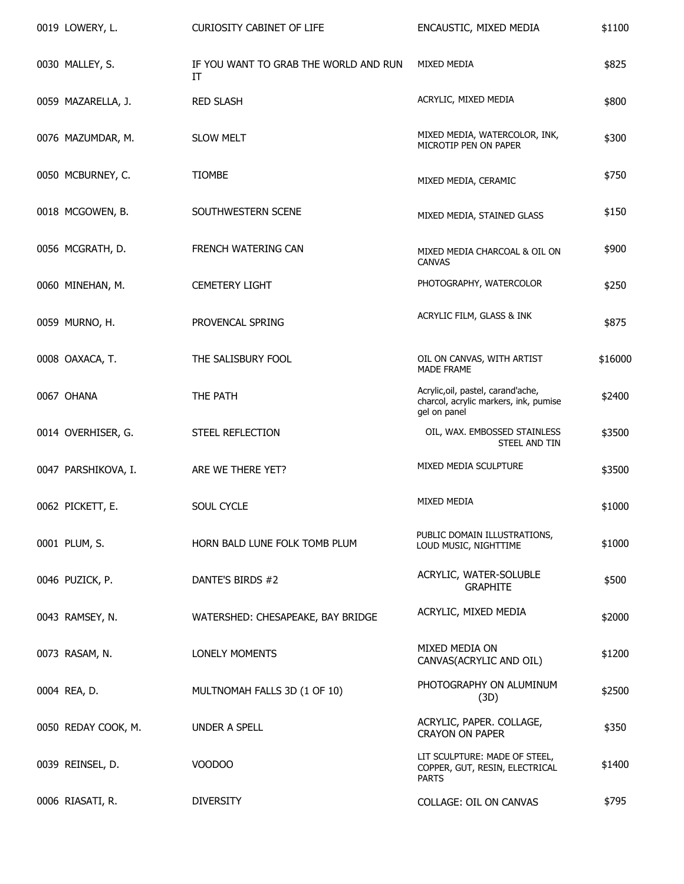| 0019 LOWERY, L.     | <b>CURIOSITY CABINET OF LIFE</b>            | ENCAUSTIC, MIXED MEDIA                                                                      | \$1100  |
|---------------------|---------------------------------------------|---------------------------------------------------------------------------------------------|---------|
| 0030 MALLEY, S.     | IF YOU WANT TO GRAB THE WORLD AND RUN<br>IT | MIXED MEDIA                                                                                 | \$825   |
| 0059 MAZARELLA, J.  | <b>RED SLASH</b>                            | ACRYLIC, MIXED MEDIA                                                                        | \$800   |
| 0076 MAZUMDAR, M.   | <b>SLOW MELT</b>                            | MIXED MEDIA, WATERCOLOR, INK,<br>MICROTIP PEN ON PAPER                                      | \$300   |
| 0050 MCBURNEY, C.   | <b>TIOMBE</b>                               | MIXED MEDIA, CERAMIC                                                                        | \$750   |
| 0018 MCGOWEN, B.    | SOUTHWESTERN SCENE                          | MIXED MEDIA, STAINED GLASS                                                                  | \$150   |
| 0056 MCGRATH, D.    | FRENCH WATERING CAN                         | MIXED MEDIA CHARCOAL & OIL ON<br><b>CANVAS</b>                                              | \$900   |
| 0060 MINEHAN, M.    | <b>CEMETERY LIGHT</b>                       | PHOTOGRAPHY, WATERCOLOR                                                                     | \$250   |
| 0059 MURNO, H.      | PROVENCAL SPRING                            | ACRYLIC FILM, GLASS & INK                                                                   | \$875   |
| 0008 OAXACA, T.     | THE SALISBURY FOOL                          | OIL ON CANVAS, WITH ARTIST<br><b>MADE FRAME</b>                                             | \$16000 |
| 0067 OHANA          | THE PATH                                    | Acrylic, oil, pastel, carand'ache,<br>charcol, acrylic markers, ink, pumise<br>gel on panel | \$2400  |
| 0014 OVERHISER, G.  | STEEL REFLECTION                            | OIL, WAX. EMBOSSED STAINLESS<br>STEEL AND TIN                                               | \$3500  |
| 0047 PARSHIKOVA, I. | ARE WE THERE YET?                           | MIXED MEDIA SCULPTURE                                                                       | \$3500  |
| 0062 PICKETT, E.    | SOUL CYCLE                                  | MIXED MEDIA                                                                                 | \$1000  |
| 0001 PLUM, S.       | HORN BALD LUNE FOLK TOMB PLUM               | PUBLIC DOMAIN ILLUSTRATIONS,<br>LOUD MUSIC, NIGHTTIME                                       | \$1000  |
| 0046 PUZICK, P.     | DANTE'S BIRDS #2                            | ACRYLIC, WATER-SOLUBLE<br><b>GRAPHITE</b>                                                   | \$500   |
| 0043 RAMSEY, N.     | WATERSHED: CHESAPEAKE, BAY BRIDGE           | ACRYLIC, MIXED MEDIA                                                                        | \$2000  |
| 0073 RASAM, N.      | LONELY MOMENTS                              | MIXED MEDIA ON<br>CANVAS(ACRYLIC AND OIL)                                                   | \$1200  |
| 0004 REA, D.        | MULTNOMAH FALLS 3D (1 OF 10)                | PHOTOGRAPHY ON ALUMINUM<br>(3D)                                                             | \$2500  |
| 0050 REDAY COOK, M. | <b>UNDER A SPELL</b>                        | ACRYLIC, PAPER. COLLAGE,<br><b>CRAYON ON PAPER</b>                                          | \$350   |
| 0039 REINSEL, D.    | VOODOO                                      | LIT SCULPTURE: MADE OF STEEL,<br>COPPER, GUT, RESIN, ELECTRICAL<br><b>PARTS</b>             | \$1400  |
| 0006 RIASATI, R.    | <b>DIVERSITY</b>                            | COLLAGE: OIL ON CANVAS                                                                      | \$795   |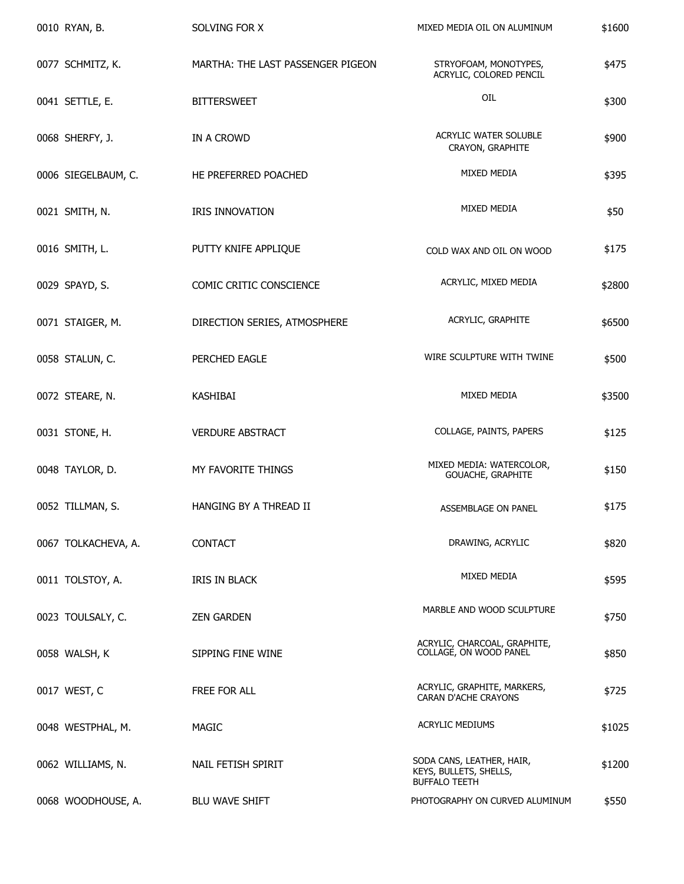| 0010 RYAN, B.       | SOLVING FOR X                     | MIXED MEDIA OIL ON ALUMINUM                                                 | \$1600 |
|---------------------|-----------------------------------|-----------------------------------------------------------------------------|--------|
| 0077 SCHMITZ, K.    | MARTHA: THE LAST PASSENGER PIGEON | STRYOFOAM, MONOTYPES,<br>ACRYLIC, COLORED PENCIL                            | \$475  |
| 0041 SETTLE, E.     | <b>BITTERSWEET</b>                | OIL                                                                         | \$300  |
| 0068 SHERFY, J.     | IN A CROWD                        | ACRYLIC WATER SOLUBLE<br>CRAYON, GRAPHITE                                   | \$900  |
| 0006 SIEGELBAUM, C. | HE PREFERRED POACHED              | MIXED MEDIA                                                                 | \$395  |
| 0021 SMITH, N.      | IRIS INNOVATION                   | MIXED MEDIA                                                                 | \$50   |
| 0016 SMITH, L.      | PUTTY KNIFE APPLIQUE              | COLD WAX AND OIL ON WOOD                                                    | \$175  |
| 0029 SPAYD, S.      | COMIC CRITIC CONSCIENCE           | ACRYLIC, MIXED MEDIA                                                        | \$2800 |
| 0071 STAIGER, M.    | DIRECTION SERIES, ATMOSPHERE      | ACRYLIC, GRAPHITE                                                           | \$6500 |
| 0058 STALUN, C.     | PERCHED EAGLE                     | WIRE SCULPTURE WITH TWINE                                                   | \$500  |
| 0072 STEARE, N.     | KASHIBAI                          | MIXED MEDIA                                                                 | \$3500 |
| 0031 STONE, H.      | <b>VERDURE ABSTRACT</b>           | COLLAGE, PAINTS, PAPERS                                                     | \$125  |
| 0048 TAYLOR, D.     | MY FAVORITE THINGS                | MIXED MEDIA: WATERCOLOR,<br>GOUACHE, GRAPHITE                               | \$150  |
| 0052 TILLMAN, S.    | HANGING BY A THREAD II            | ASSEMBLAGE ON PANEL                                                         | \$175  |
| 0067 TOLKACHEVA, A. | <b>CONTACT</b>                    | DRAWING, ACRYLIC                                                            | \$820  |
| 0011 TOLSTOY, A.    | IRIS IN BLACK                     | MIXED MEDIA                                                                 | \$595  |
| 0023 TOULSALY, C.   | <b>ZEN GARDEN</b>                 | MARBLE AND WOOD SCULPTURE                                                   | \$750  |
| 0058 WALSH, K       | SIPPING FINE WINE                 | ACRYLIC, CHARCOAL, GRAPHITE,<br>COLLAGE, ON WOOD PANEL                      | \$850  |
| 0017 WEST, C        | FREE FOR ALL                      | ACRYLIC, GRAPHITE, MARKERS,<br><b>CARAN D'ACHE CRAYONS</b>                  | \$725  |
| 0048 WESTPHAL, M.   | MAGIC                             | <b>ACRYLIC MEDIUMS</b>                                                      | \$1025 |
| 0062 WILLIAMS, N.   | NAIL FETISH SPIRIT                | SODA CANS, LEATHER, HAIR,<br>KEYS, BULLETS, SHELLS,<br><b>BUFFALO TEETH</b> | \$1200 |
| 0068 WOODHOUSE, A.  | <b>BLU WAVE SHIFT</b>             | PHOTOGRAPHY ON CURVED ALUMINUM                                              | \$550  |